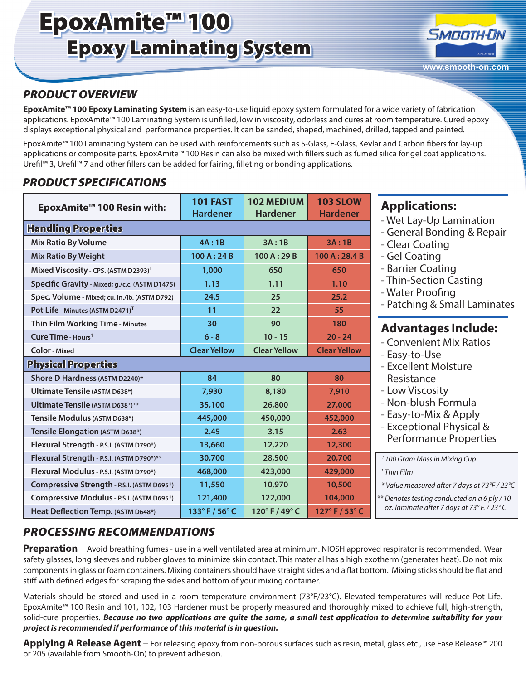# EpoxAmite™ 100 Epoxy Laminating System



### *PRODUCT OVERVIEW*

**EpoxAmite™ 100 Epoxy Laminating System** is an easy-to-use liquid epoxy system formulated for a wide variety of fabrication applications. EpoxAmite™ 100 Laminating System is unfilled, low in viscosity, odorless and cures at room temperature. Cured epoxy displays exceptional physical and performance properties. It can be sanded, shaped, machined, drilled, tapped and painted.

EpoxAmite™ 100 Laminating System can be used with reinforcements such as S-Glass, E-Glass, Kevlar and Carbon fibers for lay-up applications or composite parts. EpoxAmite™ 100 Resin can also be mixed with fillers such as fumed silica for gel coat applications. Urefil™ 3, Urefil™ 7 and other fillers can be added for fairing, filleting or bonding applications.

### *PRODUCT SPECIFICATIONS*

| EpoxAmite <sup>™</sup> 100 Resin with:           | <b>101 FAST</b><br><b>Hardener</b> | 102 MEDIUM<br><b>Hardener</b> | <b>103 SLOW</b><br><b>Hardener</b> |
|--------------------------------------------------|------------------------------------|-------------------------------|------------------------------------|
| <b>Handling Properties</b>                       |                                    |                               |                                    |
| <b>Mix Ratio By Volume</b>                       | 4A:1B                              | 3A:1B                         | 3A:1B                              |
| <b>Mix Ratio By Weight</b>                       | 100A:24B                           | 100 A: 29 B                   | 100 A: 28.4 B                      |
| Mixed Viscosity - CPS. (ASTM D2393) <sup>T</sup> | 1,000                              | 650                           | 650                                |
| Specific Gravity - Mixed; g./c.c. (ASTM D1475)   | 1.13                               | 1.11                          | 1.10                               |
| Spec. Volume - Mixed; cu. in./lb. (ASTM D792)    | 24.5                               | 25                            | 25.2                               |
| Pot Life - Minutes (ASTM D2471) <sup>T</sup>     | 11                                 | 22                            | 55                                 |
| Thin Film Working Time - Minutes                 | 30                                 | 90                            | 180                                |
| Cure Time - Hours <sup>1</sup>                   | $6 - 8$                            | $10 - 15$                     | $20 - 24$                          |
| <b>Color</b> - Mixed                             | <b>Clear Yellow</b>                | <b>Clear Yellow</b>           | <b>Clear Yellow</b>                |
| <b>Physical Properties</b>                       |                                    |                               |                                    |
| Shore D Hardness (ASTM D2240)*                   | 84                                 | 80                            | 80                                 |
| <b>Ultimate Tensile (ASTM D638*)</b>             | 7,930                              | 8,180                         | 7,910                              |
| Ultimate Tensile (ASTM D638*)**                  | 35,100                             | 26,800                        | 27,000                             |
| Tensile Modulus (ASTM D638*)                     | 445,000                            | 450,000                       | 452,000                            |
| Tensile Elongation (ASTM D638*)                  | 2.45                               | 3.15                          | 2.63                               |
| Flexural Strength - P.S.I. (ASTM D790*)          | 13,660                             | 12,220                        | 12,300                             |
| Flexural Strength - P.S.I. (ASTM D790*)**        | 30,700                             | 28,500                        | 20,700                             |
| Flexural Modulus - P.S.I. (ASTM D790*)           | 468,000                            | 423,000                       | 429,000                            |
| Compressive Strength - P.S.I. (ASTM D695*)       | 11,550                             | 10,970                        | 10,500                             |
| Compressive Modulus - P.S.I. (ASTM D695*)        | 121,400                            | 122,000                       | 104,000                            |
| Heat Deflection Temp. (ASTM D648*)               | 133°F/56°C                         | 120°F/49°C                    | 127°F/53°C                         |

### **Applications:**

- Wet Lay-Up Lamination
- General Bonding & Repair
- Clear Coating
- Gel Coating
- Barrier Coating
- Thin-Section Casting
- Water Proofing
- Patching & Small Laminates

### **Advantages Include:**

- Convenient Mix Ratios
- Easy-to-Use
- Excellent Moisture Resistance
- Low Viscosity
- Non-blush Formula
- Easy-to-Mix & Apply
- Exceptional Physical & Performance Properties

- *1 Thin Film*
- *\* Value measured after 7 days at 73°F / 23°C*

*\*\* Denotes testing conducted on a 6 ply / 10 oz. laminate after 7 days at 73° F. / 23° C.*

## *PROCESSING RECOMMENDATIONS*

**Preparation** – Avoid breathing fumes - use in a well ventilated area at minimum. NIOSH approved respirator is recommended. Wear safety glasses, long sleeves and rubber gloves to minimize skin contact. This material has a high exotherm (generates heat). Do not mix components in glass or foam containers. Mixing containers should have straight sides and a flat bottom. Mixing sticks should be flat and stiff with defined edges for scraping the sides and bottom of your mixing container.

Materials should be stored and used in a room temperature environment (73°F/23°C). Elevated temperatures will reduce Pot Life. EpoxAmite™ 100 Resin and 101, 102, 103 Hardener must be properly measured and thoroughly mixed to achieve full, high-strength, solid-cure properties. *Because no two applications are quite the same, a small test application to determine suitability for your project is recommended if performance of this material is in question.*

**Applying A Release Agent** – For releasing epoxy from non-porous surfaces such as resin, metal, glass etc., use Ease Release™ 200 or 205 (available from Smooth-On) to prevent adhesion.

*T 100 Gram Mass in Mixing Cup*